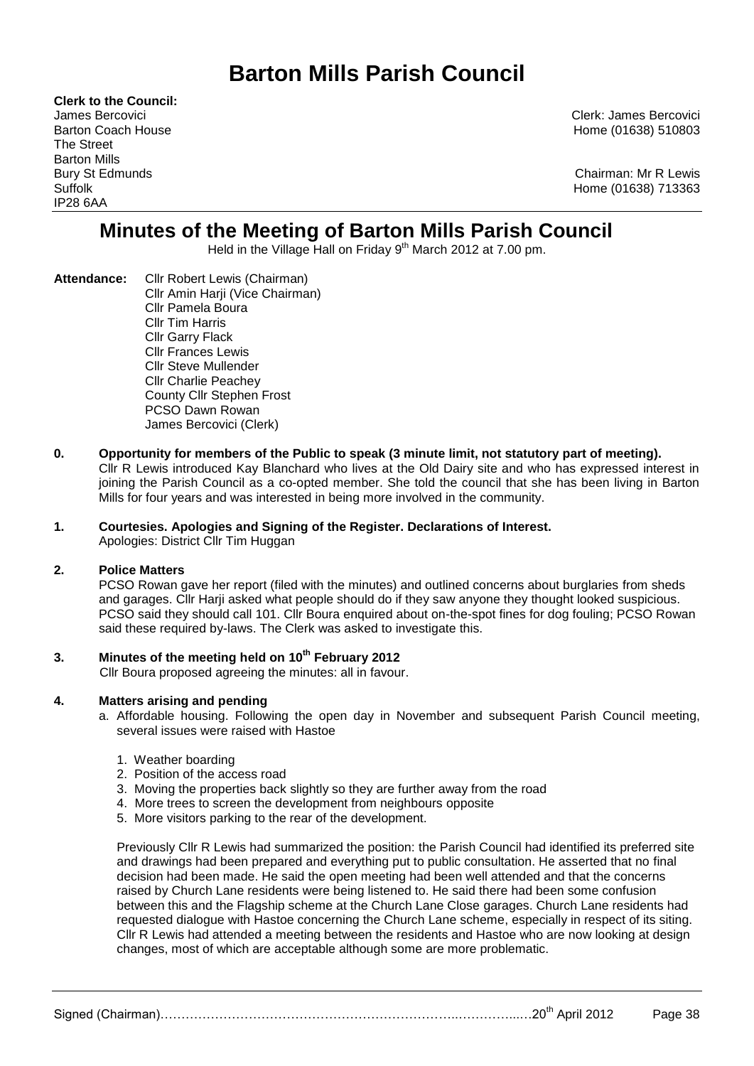# **Barton Mills Parish Council**

**Clerk to the Council:** The Street Barton Mills IP28 6AA

James Bercovici Clerk: James Bercovici Barton Coach House Home (01638) 510803

Bury St Edmunds **Chairman: Mr R Lewis** Suffolk Home (01638) 713363

## **Minutes of the Meeting of Barton Mills Parish Council**

Held in the Village Hall on Friday 9<sup>th</sup> March 2012 at 7.00 pm.

- **Attendance:** Cllr Robert Lewis (Chairman) Cllr Amin Harji (Vice Chairman) Cllr Pamela Boura Cllr Tim Harris Cllr Garry Flack Cllr Frances Lewis Cllr Steve Mullender Cllr Charlie Peachey County Cllr Stephen Frost PCSO Dawn Rowan James Bercovici (Clerk)
- **0. Opportunity for members of the Public to speak (3 minute limit, not statutory part of meeting).**  Cllr R Lewis introduced Kay Blanchard who lives at the Old Dairy site and who has expressed interest in joining the Parish Council as a co-opted member. She told the council that she has been living in Barton Mills for four years and was interested in being more involved in the community.
- **1. Courtesies. Apologies and Signing of the Register. Declarations of Interest.** Apologies: District Cllr Tim Huggan

## **2. Police Matters**

PCSO Rowan gave her report (filed with the minutes) and outlined concerns about burglaries from sheds and garages. Cllr Harji asked what people should do if they saw anyone they thought looked suspicious. PCSO said they should call 101. Cllr Boura enquired about on-the-spot fines for dog fouling; PCSO Rowan said these required by-laws. The Clerk was asked to investigate this.

## **3. Minutes of the meeting held on 10 th February 2012**

Cllr Boura proposed agreeing the minutes: all in favour.

## **4. Matters arising and pending**

- a. Affordable housing. Following the open day in November and subsequent Parish Council meeting, several issues were raised with Hastoe
	- 1. Weather boarding
	- 2. Position of the access road
	- 3. Moving the properties back slightly so they are further away from the road
	- 4. More trees to screen the development from neighbours opposite
	- 5. More visitors parking to the rear of the development.

Previously Cllr R Lewis had summarized the position: the Parish Council had identified its preferred site and drawings had been prepared and everything put to public consultation. He asserted that no final decision had been made. He said the open meeting had been well attended and that the concerns raised by Church Lane residents were being listened to. He said there had been some confusion between this and the Flagship scheme at the Church Lane Close garages. Church Lane residents had requested dialogue with Hastoe concerning the Church Lane scheme, especially in respect of its siting. Cllr R Lewis had attended a meeting between the residents and Hastoe who are now looking at design changes, most of which are acceptable although some are more problematic.

Signed (Chairman)……………………………………………………………..…………...…20th April 2012 Page 38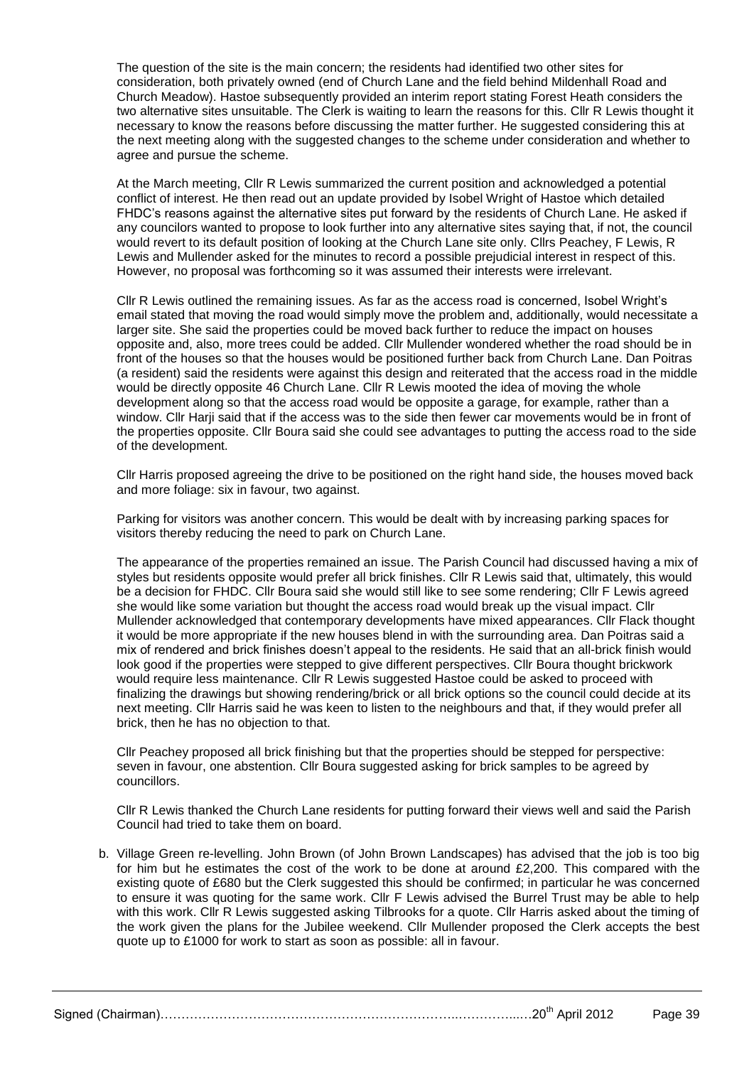The question of the site is the main concern; the residents had identified two other sites for consideration, both privately owned (end of Church Lane and the field behind Mildenhall Road and Church Meadow). Hastoe subsequently provided an interim report stating Forest Heath considers the two alternative sites unsuitable. The Clerk is waiting to learn the reasons for this. Cllr R Lewis thought it necessary to know the reasons before discussing the matter further. He suggested considering this at the next meeting along with the suggested changes to the scheme under consideration and whether to agree and pursue the scheme.

At the March meeting, Cllr R Lewis summarized the current position and acknowledged a potential conflict of interest. He then read out an update provided by Isobel Wright of Hastoe which detailed FHDC's reasons against the alternative sites put forward by the residents of Church Lane. He asked if any councilors wanted to propose to look further into any alternative sites saying that, if not, the council would revert to its default position of looking at the Church Lane site only. Cllrs Peachey, F Lewis, R Lewis and Mullender asked for the minutes to record a possible prejudicial interest in respect of this. However, no proposal was forthcoming so it was assumed their interests were irrelevant.

Cllr R Lewis outlined the remaining issues. As far as the access road is concerned, Isobel Wright's email stated that moving the road would simply move the problem and, additionally, would necessitate a larger site. She said the properties could be moved back further to reduce the impact on houses opposite and, also, more trees could be added. Cllr Mullender wondered whether the road should be in front of the houses so that the houses would be positioned further back from Church Lane. Dan Poitras (a resident) said the residents were against this design and reiterated that the access road in the middle would be directly opposite 46 Church Lane. Cllr R Lewis mooted the idea of moving the whole development along so that the access road would be opposite a garage, for example, rather than a window. Cllr Harji said that if the access was to the side then fewer car movements would be in front of the properties opposite. Cllr Boura said she could see advantages to putting the access road to the side of the development.

Cllr Harris proposed agreeing the drive to be positioned on the right hand side, the houses moved back and more foliage: six in favour, two against.

Parking for visitors was another concern. This would be dealt with by increasing parking spaces for visitors thereby reducing the need to park on Church Lane.

The appearance of the properties remained an issue. The Parish Council had discussed having a mix of styles but residents opposite would prefer all brick finishes. Cllr R Lewis said that, ultimately, this would be a decision for FHDC. Cllr Boura said she would still like to see some rendering; Cllr F Lewis agreed she would like some variation but thought the access road would break up the visual impact. Cllr Mullender acknowledged that contemporary developments have mixed appearances. Cllr Flack thought it would be more appropriate if the new houses blend in with the surrounding area. Dan Poitras said a mix of rendered and brick finishes doesn't appeal to the residents. He said that an all-brick finish would look good if the properties were stepped to give different perspectives. Cllr Boura thought brickwork would require less maintenance. Cllr R Lewis suggested Hastoe could be asked to proceed with finalizing the drawings but showing rendering/brick or all brick options so the council could decide at its next meeting. Cllr Harris said he was keen to listen to the neighbours and that, if they would prefer all brick, then he has no objection to that.

Cllr Peachey proposed all brick finishing but that the properties should be stepped for perspective: seven in favour, one abstention. Cllr Boura suggested asking for brick samples to be agreed by councillors.

Cllr R Lewis thanked the Church Lane residents for putting forward their views well and said the Parish Council had tried to take them on board.

b. Village Green re-levelling. John Brown (of John Brown Landscapes) has advised that the job is too big for him but he estimates the cost of the work to be done at around £2,200. This compared with the existing quote of £680 but the Clerk suggested this should be confirmed; in particular he was concerned to ensure it was quoting for the same work. Cllr F Lewis advised the Burrel Trust may be able to help with this work. Cllr R Lewis suggested asking Tilbrooks for a quote. Cllr Harris asked about the timing of the work given the plans for the Jubilee weekend. Cllr Mullender proposed the Clerk accepts the best quote up to £1000 for work to start as soon as possible: all in favour.

Signed (Chairman)……………………………………………………………..…………...…20th April 2012 Page 39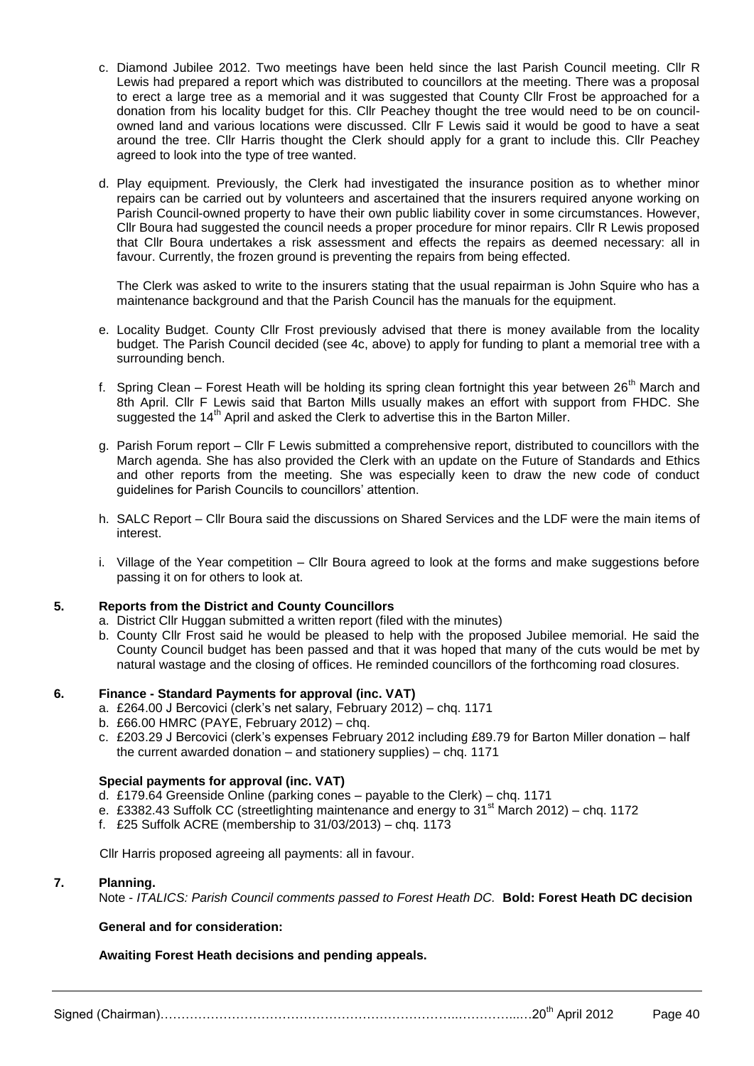- c. Diamond Jubilee 2012. Two meetings have been held since the last Parish Council meeting. Cllr R Lewis had prepared a report which was distributed to councillors at the meeting. There was a proposal to erect a large tree as a memorial and it was suggested that County Cllr Frost be approached for a donation from his locality budget for this. Cllr Peachey thought the tree would need to be on councilowned land and various locations were discussed. Cllr F Lewis said it would be good to have a seat around the tree. Cllr Harris thought the Clerk should apply for a grant to include this. Cllr Peachey agreed to look into the type of tree wanted.
- d. Play equipment. Previously, the Clerk had investigated the insurance position as to whether minor repairs can be carried out by volunteers and ascertained that the insurers required anyone working on Parish Council-owned property to have their own public liability cover in some circumstances. However, Cllr Boura had suggested the council needs a proper procedure for minor repairs. Cllr R Lewis proposed that Cllr Boura undertakes a risk assessment and effects the repairs as deemed necessary: all in favour. Currently, the frozen ground is preventing the repairs from being effected.

The Clerk was asked to write to the insurers stating that the usual repairman is John Squire who has a maintenance background and that the Parish Council has the manuals for the equipment.

- e. Locality Budget. County Cllr Frost previously advised that there is money available from the locality budget. The Parish Council decided (see 4c, above) to apply for funding to plant a memorial tree with a surrounding bench.
- f. Spring Clean Forest Heath will be holding its spring clean fortnight this year between 26<sup>th</sup> March and 8th April. Cllr F Lewis said that Barton Mills usually makes an effort with support from FHDC. She suggested the 14<sup>th</sup> April and asked the Clerk to advertise this in the Barton Miller.
- g. Parish Forum report Cllr F Lewis submitted a comprehensive report, distributed to councillors with the March agenda. She has also provided the Clerk with an update on the Future of Standards and Ethics and other reports from the meeting. She was especially keen to draw the new code of conduct guidelines for Parish Councils to councillors' attention.
- h. SALC Report Cllr Boura said the discussions on Shared Services and the LDF were the main items of interest.
- i. Village of the Year competition Cllr Boura agreed to look at the forms and make suggestions before passing it on for others to look at.

## **5. Reports from the District and County Councillors**

- a. District Cllr Huggan submitted a written report (filed with the minutes)
- b. County Cllr Frost said he would be pleased to help with the proposed Jubilee memorial. He said the County Council budget has been passed and that it was hoped that many of the cuts would be met by natural wastage and the closing of offices. He reminded councillors of the forthcoming road closures.

## **6. Finance - Standard Payments for approval (inc. VAT)**

- a. £264.00 J Bercovici (clerk's net salary, February 2012) chq. 1171
- b. £66.00 HMRC (PAYE, February 2012) chq.
- c. £203.29 J Bercovici (clerk's expenses February 2012 including £89.79 for Barton Miller donation half the current awarded donation – and stationery supplies) – chq. 1171

## **Special payments for approval (inc. VAT)**

- d. £179.64 Greenside Online (parking cones payable to the Clerk) chq. 1171
- e. £3382.43 Suffolk CC (streetlighting maintenance and energy to  $31<sup>st</sup>$  March 2012) chq. 1172
- f. £25 Suffolk ACRE (membership to 31/03/2013) chq. 1173

Cllr Harris proposed agreeing all payments: all in favour.

## **7. Planning.**

Note - *ITALICS: Parish Council comments passed to Forest Heath DC.* **Bold: Forest Heath DC decision**

## **General and for consideration:**

## **Awaiting Forest Heath decisions and pending appeals.**

Signed (Chairman)……………………………………………………………..…………...…20th April 2012 Page 40